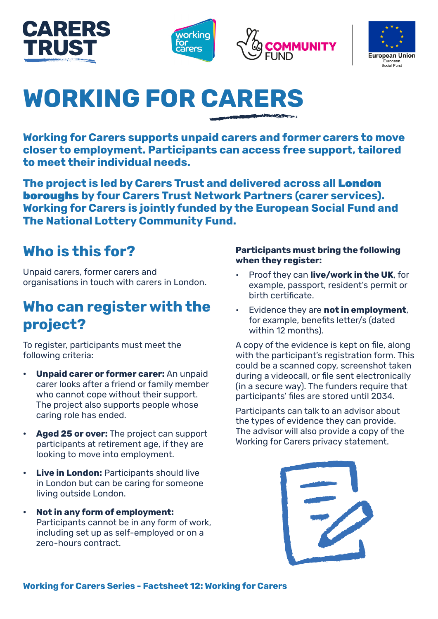







# **WORKING FOR CARERS**

**Working for Carers supports unpaid carers and former carers to move closer to employment. Participants can access free support, tailored to meet their individual needs.**

**The project is led by Carers Trust and delivered across all** London boroughs **by four Carers Trust Network Partners (carer services). Working for Carers is jointly funded by the European Social Fund and The National Lottery Community Fund.**

### **Who is this for?**

Unpaid carers, former carers and organisations in touch with carers in London.

### **Who can register with the project?**

To register, participants must meet the following criteria:

- **• Unpaid carer or former carer:** An unpaid carer looks after a friend or family member who cannot cope without their support. The project also supports people whose caring role has ended.
- **• Aged 25 or over:** The project can support participants at retirement age, if they are looking to move into employment.
- **Live in London: Participants should live** in London but can be caring for someone living outside London.
- **• Not in any form of employment:**  Participants cannot be in any form of work, including set up as self-employed or on a zero-hours contract.

#### **Participants must bring the following when they register:**

- Proof they can **live/work in the UK**, for example, passport, resident's permit or birth certificate.
- Evidence they are **not in employment**, for example, benefits letter/s (dated within 12 months).

A copy of the evidence is kept on file, along with the participant's registration form. This could be a scanned copy, screenshot taken during a videocall, or file sent electronically (in a secure way). The funders require that participants' files are stored until 2034.

Participants can talk to an advisor about the types of evidence they can provide. The advisor will also provide a copy of the Working for Carers privacy statement.